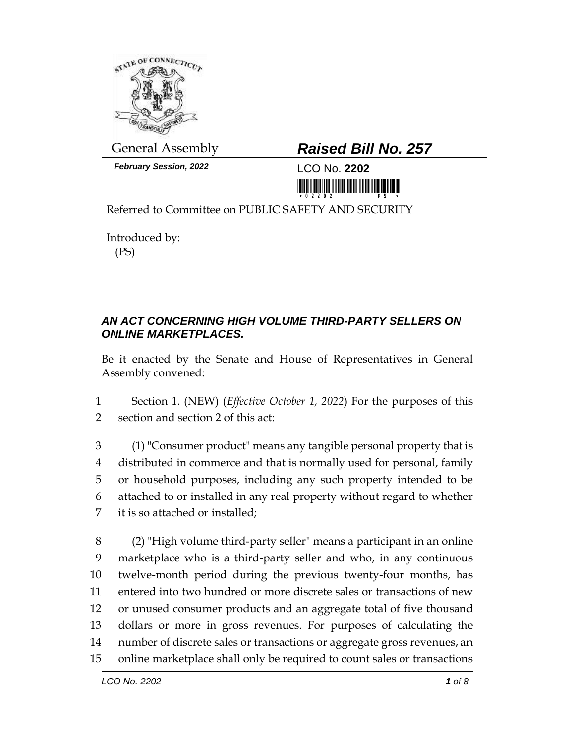

*February Session, 2022* LCO No. **2202**

## General Assembly *Raised Bill No. 257*

<u> III di kacamatan ing Kabupatèn III di kacamatan ing Kabupatèn III di kacamatan III di kacamatan III di kacamatan III di kacamatan III di kacamatan III di kacamatan III di kacamatan III di kacamatan III di kacamatan III d</u>

Referred to Committee on PUBLIC SAFETY AND SECURITY

Introduced by: (PS)

## *AN ACT CONCERNING HIGH VOLUME THIRD-PARTY SELLERS ON ONLINE MARKETPLACES.*

Be it enacted by the Senate and House of Representatives in General Assembly convened:

1 Section 1. (NEW) (*Effective October 1, 2022*) For the purposes of this 2 section and section 2 of this act:

 (1) "Consumer product" means any tangible personal property that is distributed in commerce and that is normally used for personal, family or household purposes, including any such property intended to be attached to or installed in any real property without regard to whether it is so attached or installed;

 (2) "High volume third-party seller" means a participant in an online marketplace who is a third-party seller and who, in any continuous twelve-month period during the previous twenty-four months, has entered into two hundred or more discrete sales or transactions of new or unused consumer products and an aggregate total of five thousand dollars or more in gross revenues. For purposes of calculating the number of discrete sales or transactions or aggregate gross revenues, an online marketplace shall only be required to count sales or transactions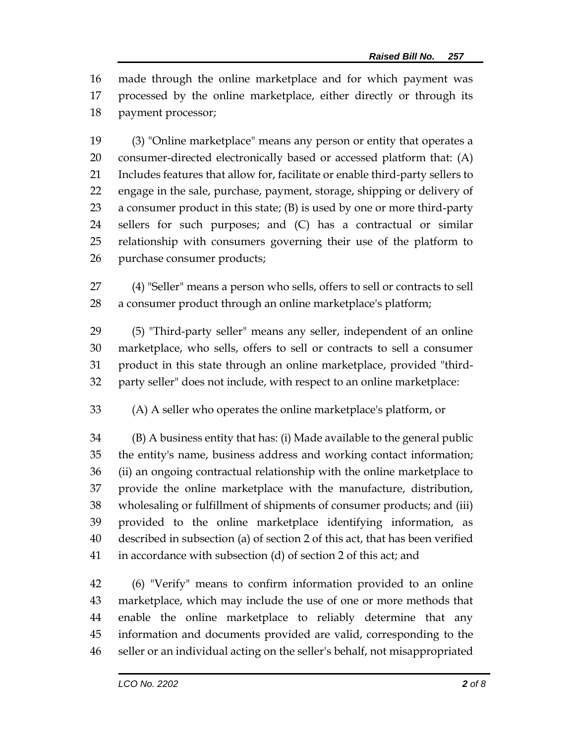made through the online marketplace and for which payment was processed by the online marketplace, either directly or through its payment processor;

 (3) "Online marketplace" means any person or entity that operates a consumer-directed electronically based or accessed platform that: (A) Includes features that allow for, facilitate or enable third-party sellers to engage in the sale, purchase, payment, storage, shipping or delivery of a consumer product in this state; (B) is used by one or more third-party sellers for such purposes; and (C) has a contractual or similar relationship with consumers governing their use of the platform to purchase consumer products;

 (4) "Seller" means a person who sells, offers to sell or contracts to sell a consumer product through an online marketplace's platform;

 (5) "Third-party seller" means any seller, independent of an online marketplace, who sells, offers to sell or contracts to sell a consumer product in this state through an online marketplace, provided "third-party seller" does not include, with respect to an online marketplace:

(A) A seller who operates the online marketplace's platform, or

 (B) A business entity that has: (i) Made available to the general public the entity's name, business address and working contact information; (ii) an ongoing contractual relationship with the online marketplace to provide the online marketplace with the manufacture, distribution, wholesaling or fulfillment of shipments of consumer products; and (iii) provided to the online marketplace identifying information, as described in subsection (a) of section 2 of this act, that has been verified in accordance with subsection (d) of section 2 of this act; and

 (6) "Verify" means to confirm information provided to an online marketplace, which may include the use of one or more methods that enable the online marketplace to reliably determine that any information and documents provided are valid, corresponding to the seller or an individual acting on the seller's behalf, not misappropriated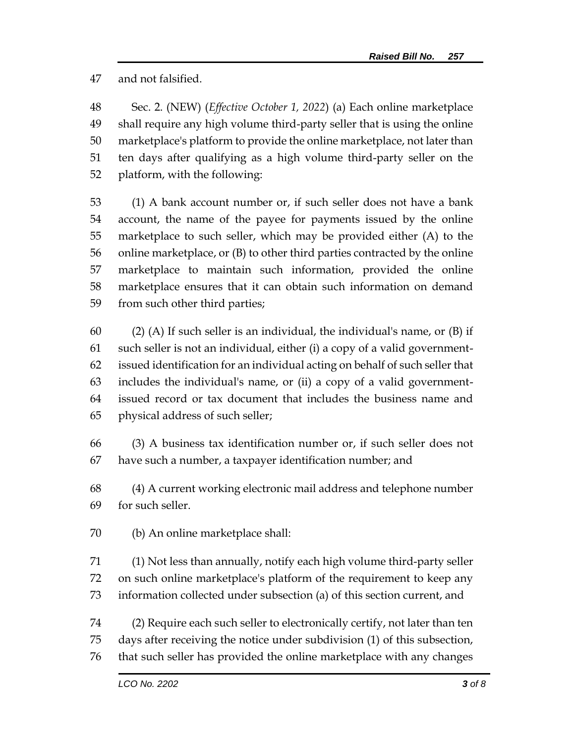and not falsified.

 Sec. 2. (NEW) (*Effective October 1, 2022*) (a) Each online marketplace shall require any high volume third-party seller that is using the online marketplace's platform to provide the online marketplace, not later than ten days after qualifying as a high volume third-party seller on the platform, with the following:

 (1) A bank account number or, if such seller does not have a bank account, the name of the payee for payments issued by the online marketplace to such seller, which may be provided either (A) to the online marketplace, or (B) to other third parties contracted by the online marketplace to maintain such information, provided the online marketplace ensures that it can obtain such information on demand from such other third parties;

60 (2) (A) If such seller is an individual, the individual's name, or  $(B)$  if such seller is not an individual, either (i) a copy of a valid government- issued identification for an individual acting on behalf of such seller that includes the individual's name, or (ii) a copy of a valid government- issued record or tax document that includes the business name and physical address of such seller;

 (3) A business tax identification number or, if such seller does not have such a number, a taxpayer identification number; and

 (4) A current working electronic mail address and telephone number for such seller.

(b) An online marketplace shall:

 (1) Not less than annually, notify each high volume third-party seller on such online marketplace's platform of the requirement to keep any information collected under subsection (a) of this section current, and

 (2) Require each such seller to electronically certify, not later than ten days after receiving the notice under subdivision (1) of this subsection, that such seller has provided the online marketplace with any changes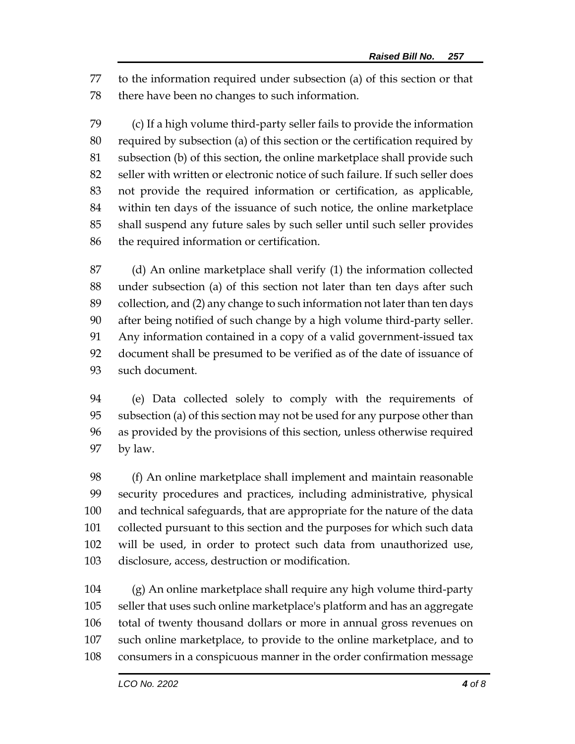to the information required under subsection (a) of this section or that there have been no changes to such information.

 (c) If a high volume third-party seller fails to provide the information required by subsection (a) of this section or the certification required by subsection (b) of this section, the online marketplace shall provide such seller with written or electronic notice of such failure. If such seller does not provide the required information or certification, as applicable, within ten days of the issuance of such notice, the online marketplace shall suspend any future sales by such seller until such seller provides the required information or certification.

 (d) An online marketplace shall verify (1) the information collected under subsection (a) of this section not later than ten days after such collection, and (2) any change to such information not later than ten days after being notified of such change by a high volume third-party seller. Any information contained in a copy of a valid government-issued tax document shall be presumed to be verified as of the date of issuance of such document.

 (e) Data collected solely to comply with the requirements of subsection (a) of this section may not be used for any purpose other than as provided by the provisions of this section, unless otherwise required by law.

 (f) An online marketplace shall implement and maintain reasonable security procedures and practices, including administrative, physical and technical safeguards, that are appropriate for the nature of the data collected pursuant to this section and the purposes for which such data will be used, in order to protect such data from unauthorized use, disclosure, access, destruction or modification.

 (g) An online marketplace shall require any high volume third-party seller that uses such online marketplace's platform and has an aggregate total of twenty thousand dollars or more in annual gross revenues on such online marketplace, to provide to the online marketplace, and to consumers in a conspicuous manner in the order confirmation message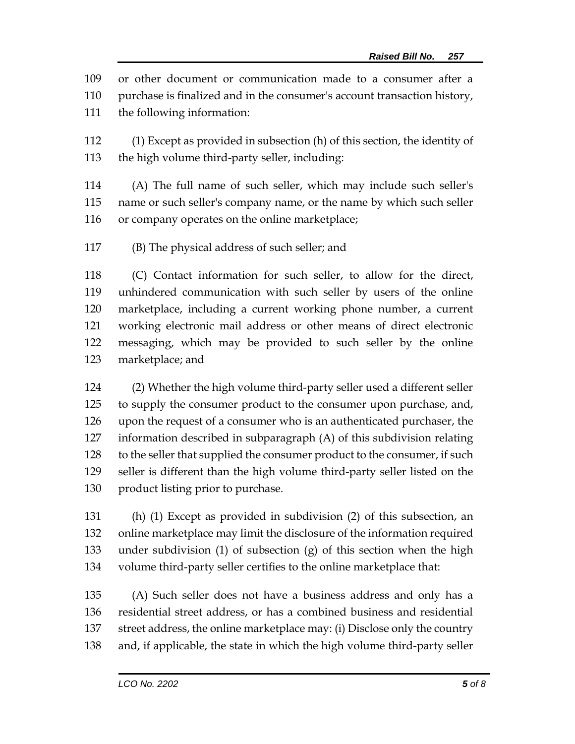or other document or communication made to a consumer after a

purchase is finalized and in the consumer's account transaction history,

the following information:

 (1) Except as provided in subsection (h) of this section, the identity of the high volume third-party seller, including:

 (A) The full name of such seller, which may include such seller's name or such seller's company name, or the name by which such seller or company operates on the online marketplace;

(B) The physical address of such seller; and

 (C) Contact information for such seller, to allow for the direct, unhindered communication with such seller by users of the online marketplace, including a current working phone number, a current working electronic mail address or other means of direct electronic messaging, which may be provided to such seller by the online marketplace; and

 (2) Whether the high volume third-party seller used a different seller to supply the consumer product to the consumer upon purchase, and, upon the request of a consumer who is an authenticated purchaser, the information described in subparagraph (A) of this subdivision relating 128 to the seller that supplied the consumer product to the consumer, if such seller is different than the high volume third-party seller listed on the 130 product listing prior to purchase.

 (h) (1) Except as provided in subdivision (2) of this subsection, an online marketplace may limit the disclosure of the information required under subdivision (1) of subsection (g) of this section when the high volume third-party seller certifies to the online marketplace that:

 (A) Such seller does not have a business address and only has a residential street address, or has a combined business and residential street address, the online marketplace may: (i) Disclose only the country and, if applicable, the state in which the high volume third-party seller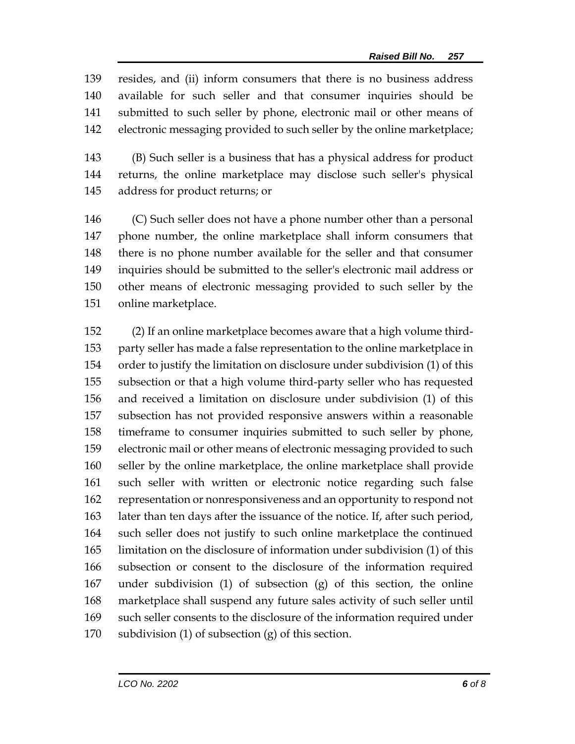resides, and (ii) inform consumers that there is no business address available for such seller and that consumer inquiries should be submitted to such seller by phone, electronic mail or other means of electronic messaging provided to such seller by the online marketplace;

 (B) Such seller is a business that has a physical address for product returns, the online marketplace may disclose such seller's physical address for product returns; or

 (C) Such seller does not have a phone number other than a personal phone number, the online marketplace shall inform consumers that there is no phone number available for the seller and that consumer inquiries should be submitted to the seller's electronic mail address or other means of electronic messaging provided to such seller by the online marketplace.

 (2) If an online marketplace becomes aware that a high volume third- party seller has made a false representation to the online marketplace in order to justify the limitation on disclosure under subdivision (1) of this subsection or that a high volume third-party seller who has requested and received a limitation on disclosure under subdivision (1) of this subsection has not provided responsive answers within a reasonable timeframe to consumer inquiries submitted to such seller by phone, electronic mail or other means of electronic messaging provided to such seller by the online marketplace, the online marketplace shall provide such seller with written or electronic notice regarding such false representation or nonresponsiveness and an opportunity to respond not later than ten days after the issuance of the notice. If, after such period, such seller does not justify to such online marketplace the continued limitation on the disclosure of information under subdivision (1) of this subsection or consent to the disclosure of the information required under subdivision (1) of subsection (g) of this section, the online marketplace shall suspend any future sales activity of such seller until such seller consents to the disclosure of the information required under subdivision (1) of subsection (g) of this section.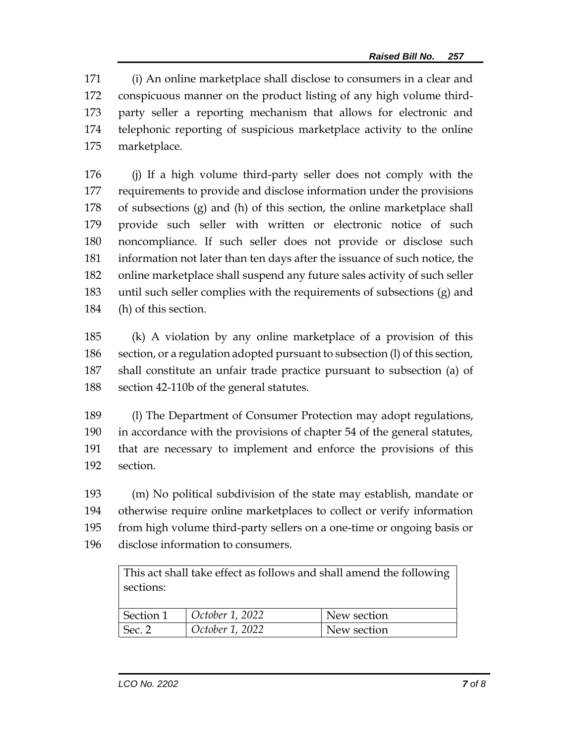(i) An online marketplace shall disclose to consumers in a clear and conspicuous manner on the product listing of any high volume third- party seller a reporting mechanism that allows for electronic and telephonic reporting of suspicious marketplace activity to the online marketplace.

 (j) If a high volume third-party seller does not comply with the requirements to provide and disclose information under the provisions of subsections (g) and (h) of this section, the online marketplace shall provide such seller with written or electronic notice of such noncompliance. If such seller does not provide or disclose such information not later than ten days after the issuance of such notice, the online marketplace shall suspend any future sales activity of such seller until such seller complies with the requirements of subsections (g) and (h) of this section.

 (k) A violation by any online marketplace of a provision of this section, or a regulation adopted pursuant to subsection (l) of this section, shall constitute an unfair trade practice pursuant to subsection (a) of section 42-110b of the general statutes.

 (l) The Department of Consumer Protection may adopt regulations, in accordance with the provisions of chapter 54 of the general statutes, that are necessary to implement and enforce the provisions of this section.

 (m) No political subdivision of the state may establish, mandate or otherwise require online marketplaces to collect or verify information from high volume third-party sellers on a one-time or ongoing basis or

disclose information to consumers.

This act shall take effect as follows and shall amend the following sections:

| Section 1 | October 1, 2022 | New section |
|-----------|-----------------|-------------|
| Sec. 2    | October 1, 2022 | New section |